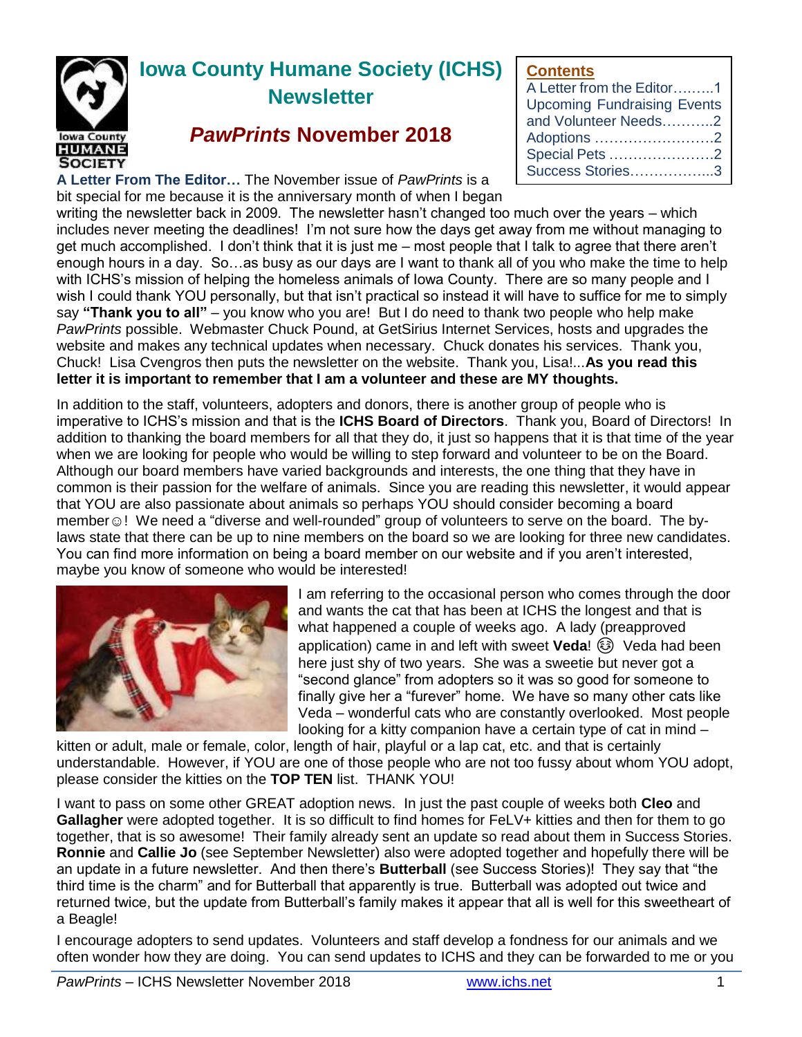

# **Iowa County Humane Society (ICHS) Newsletter**

# *PawPrints* **November 2018**

**A Letter From The Editor…** The November issue of *PawPrints* is a bit special for me because it is the anniversary month of when I began **Contents**

| A Letter from the Editor1          |
|------------------------------------|
| <b>Upcoming Fundraising Events</b> |
| and Volunteer Needs2               |
| Adoptions 2                        |
| Special Pets 2                     |
| Success Stories3                   |

writing the newsletter back in 2009. The newsletter hasn't changed too much over the years – which includes never meeting the deadlines! I'm not sure how the days get away from me without managing to get much accomplished. I don't think that it is just me – most people that I talk to agree that there aren't enough hours in a day. So…as busy as our days are I want to thank all of you who make the time to help with ICHS's mission of helping the homeless animals of Iowa County. There are so many people and I wish I could thank YOU personally, but that isn't practical so instead it will have to suffice for me to simply say **"Thank you to all"** – you know who you are! But I do need to thank two people who help make *PawPrints* possible. Webmaster Chuck Pound, at GetSirius Internet Services, hosts and upgrades the website and makes any technical updates when necessary. Chuck donates his services. Thank you, Chuck! Lisa Cvengros then puts the newsletter on the website. Thank you, Lisa!...**As you read this letter it is important to remember that I am a volunteer and these are MY thoughts.**

In addition to the staff, volunteers, adopters and donors, there is another group of people who is imperative to ICHS's mission and that is the **ICHS Board of Directors**. Thank you, Board of Directors! In addition to thanking the board members for all that they do, it just so happens that it is that time of the year when we are looking for people who would be willing to step forward and volunteer to be on the Board. Although our board members have varied backgrounds and interests, the one thing that they have in common is their passion for the welfare of animals. Since you are reading this newsletter, it would appear that YOU are also passionate about animals so perhaps YOU should consider becoming a board member v! We need a "diverse and well-rounded" group of volunteers to serve on the board. The bylaws state that there can be up to nine members on the board so we are looking for three new candidates. You can find more information on being a board member on our website and if you aren't interested, maybe you know of someone who would be interested!



I am referring to the occasional person who comes through the door and wants the cat that has been at ICHS the longest and that is what happened a couple of weeks ago. A lady (preapproved application) came in and left with sweet Veda! (a) Veda had been here just shy of two years. She was a sweetie but never got a "second glance" from adopters so it was so good for someone to finally give her a "furever" home. We have so many other cats like Veda – wonderful cats who are constantly overlooked. Most people looking for a kitty companion have a certain type of cat in mind –

kitten or adult, male or female, color, length of hair, playful or a lap cat, etc. and that is certainly understandable. However, if YOU are one of those people who are not too fussy about whom YOU adopt, please consider the kitties on the **TOP TEN** list. THANK YOU!

I want to pass on some other GREAT adoption news. In just the past couple of weeks both **Cleo** and **Gallagher** were adopted together. It is so difficult to find homes for FeLV+ kitties and then for them to go together, that is so awesome! Their family already sent an update so read about them in Success Stories. **Ronnie** and **Callie Jo** (see September Newsletter) also were adopted together and hopefully there will be an update in a future newsletter. And then there's **Butterball** (see Success Stories)! They say that "the third time is the charm" and for Butterball that apparently is true. Butterball was adopted out twice and returned twice, but the update from Butterball's family makes it appear that all is well for this sweetheart of a Beagle!

I encourage adopters to send updates. Volunteers and staff develop a fondness for our animals and we often wonder how they are doing. You can send updates to ICHS and they can be forwarded to me or you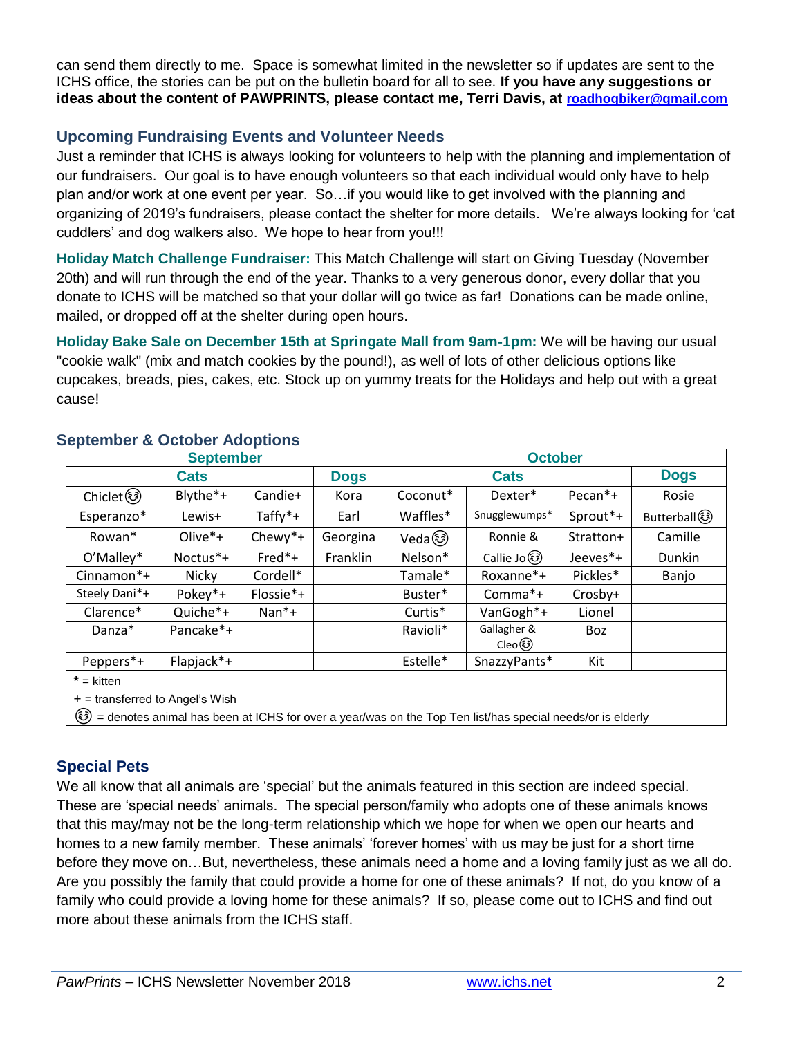can send them directly to me. Space is somewhat limited in the newsletter so if updates are sent to the ICHS office, the stories can be put on the bulletin board for all to see. **If you have any suggestions or ideas about the content of PAWPRINTS, please contact me, Terri Davis, at [roadhogbiker@gmail.com](mailto:roadhogbiker@gmail.com)**

# **Upcoming Fundraising Events and Volunteer Needs**

Just a reminder that ICHS is always looking for volunteers to help with the planning and implementation of our fundraisers. Our goal is to have enough volunteers so that each individual would only have to help plan and/or work at one event per year. So…if you would like to get involved with the planning and organizing of 2019's fundraisers, please contact the shelter for more details. We're always looking for 'cat cuddlers' and dog walkers also. We hope to hear from you!!!

**Holiday Match Challenge Fundraiser:** This Match Challenge will start on Giving Tuesday (November 20th) and will run through the end of the year. Thanks to a very generous donor, every dollar that you donate to ICHS will be matched so that your dollar will go twice as far! Donations can be made online, mailed, or dropped off at the shelter during open hours.

**Holiday Bake Sale on December 15th at Springate Mall from 9am-1pm:** We will be having our usual "cookie walk" (mix and match cookies by the pound!), as well of lots of other delicious options like cupcakes, breads, pies, cakes, etc. Stock up on yummy treats for the Holidays and help out with a great cause!

| <b>September</b> |            |           |             | <b>October</b> |                       |                     |              |
|------------------|------------|-----------|-------------|----------------|-----------------------|---------------------|--------------|
| <b>Cats</b>      |            |           | <b>Dogs</b> | <b>Cats</b>    |                       |                     | <b>Dogs</b>  |
| Chiclet (        | Blythe*+   | Candie+   | Kora        | Coconut*       | Dexter*               | Pecan <sup>*+</sup> | Rosie        |
| Esperanzo*       | Lewis+     | Taffy*+   | Earl        | Waffles*       | Snugglewumps*         | Sprout*+            | Butterball 3 |
| Rowan*           | $Olive*+$  | Chewy*+   | Georgina    | Vedaඹ          | Ronnie &              | Stratton+           | Camille      |
| O'Malley*        | Noctus*+   | $Fred*+$  | Franklin    | Nelson*        | Callie Jo හි          | Jeeves*+            | Dunkin       |
| Cinnamon*+       | Nicky      | Cordell*  |             | Tamale*        | Roxanne*+             | Pickles*            | Banjo        |
| Steely Dani*+    | Pokey*+    | Flossie*+ |             | Buster*        | Comma*+               | Crosby+             |              |
| Clarence*        | Quiche*+   | $Nan*+$   |             | Curtis*        | VanGogh*+             | Lionel              |              |
| Danza*           | Pancake*+  |           |             | Ravioli*       | Gallagher &<br>Cleo ම | Boz                 |              |
| Peppers*+        | Flapjack*+ |           |             | Estelle*       | SnazzyPants*          | Kit                 |              |

#### **September & October Adoptions**

+ = transferred to Angel's Wish

☺ = denotes animal has been at ICHS for over a year/was on the Top Ten list/has special needs/or is elderly

# **Special Pets**

We all know that all animals are 'special' but the animals featured in this section are indeed special. These are 'special needs' animals. The special person/family who adopts one of these animals knows that this may/may not be the long-term relationship which we hope for when we open our hearts and homes to a new family member. These animals' 'forever homes' with us may be just for a short time before they move on…But, nevertheless, these animals need a home and a loving family just as we all do. Are you possibly the family that could provide a home for one of these animals? If not, do you know of a family who could provide a loving home for these animals? If so, please come out to ICHS and find out more about these animals from the ICHS staff.